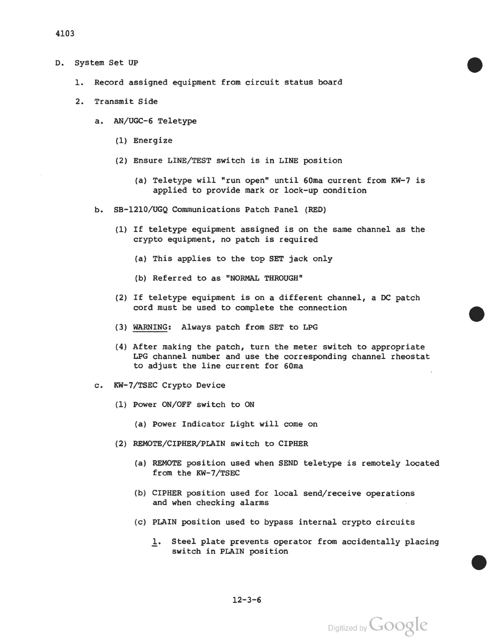- D. system set UP
	- 1. Record assigned equipment from circuit status board
	- 2. Transmit Side
		- a. AN/UGC-6 Teletype
			- (1) Energize
			- (2) Ensure LINE/TEST switch is in LINE position
				- (a) Teletype will "run open" until 60ma current from KW-7 is applied to provide mark or lock-up condition
		- b. SB-1210/UGQ Communications Patch Panel (RED)
			- (1) If teletype equipment assigned is on the same channel as the crypto equipment, no patch is required
				- (a) This applies to the top SET jack only
				- (b) Referred to as "NORMAL THROUGH"
			- (2) If teletype equipment is on a different channel, a DC patch cord must be used to complete the connection
			- (3) WARNING: Always patch from SET to LPG
			- (4) After making the patch, turn the meter switch to appropriate LPG channel number and use the corresponding channel rheostat to adjust the line current for 60ma
		- c. KW-7/TSEC Crypto Device
			- (1) Power ON/OFF switch to ON
				- (a) Power Indicator Light will come on
			- (2) REMOTE/CIPHER/PLAIN switch to CIPHER
				- (a) REMOTE position used when SEND teletype is remotely located from the KW-7/TSEC
				- (b) CIPHER position used for local send/receive operations and when checking alarms
				- (c) PLAIN position used to bypass internal crypto circuits
					- 1. Steel plate prevents operator from accidentally placing switch in PLAIN position

 $12 - 3 - 6$